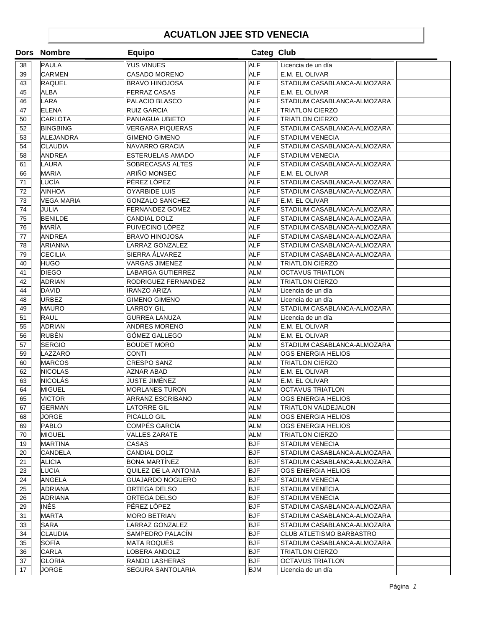## **ACUATLON JJEE STD VENECIA**

|    | Dors Nombre       | <b>Equipo</b>            | Categ Club |                                 |  |
|----|-------------------|--------------------------|------------|---------------------------------|--|
| 38 | PAULA             | <b>YUS VINUES</b>        | <b>ALF</b> | Licencia de un día              |  |
| 39 | <b>CARMEN</b>     | <b>CASADO MORENO</b>     | <b>ALF</b> | E.M. EL OLIVAR                  |  |
| 43 | <b>RAQUEL</b>     | <b>BRAVO HINOJOSA</b>    | <b>ALF</b> | STADIUM CASABLANCA-ALMOZARA     |  |
| 45 | <b>ALBA</b>       | <b>FERRAZ CASAS</b>      | <b>ALF</b> | E.M. EL OLIVAR                  |  |
| 46 | LARA              | PALACIO BLASCO           | <b>ALF</b> | STADIUM CASABLANCA-ALMOZARA     |  |
| 47 | <b>ELENA</b>      | <b>RUIZ GARCIA</b>       | <b>ALF</b> | <b>TRIATLON CIERZO</b>          |  |
| 50 | <b>CARLOTA</b>    | PANIAGUA UBIETO          | <b>ALF</b> | <b>TRIATLON CIERZO</b>          |  |
| 52 | BINGBING          | <b>VERGARA PIQUERAS</b>  | <b>ALF</b> | STADIUM CASABLANCA-ALMOZARA     |  |
| 53 | ALEJANDRA         | <b>GIMENO GIMENO</b>     | <b>ALF</b> | <b>STADIUM VENECIA</b>          |  |
| 54 | <b>CLAUDIA</b>    | <b>NAVARRO GRACIA</b>    | <b>ALF</b> | STADIUM CASABLANCA-ALMOZARA     |  |
| 58 | <b>ANDREA</b>     | <b>ESTERUELAS AMADO</b>  | <b>ALF</b> | <b>STADIUM VENECIA</b>          |  |
| 61 | LAURA             | <b>SOBRECASAS ALTES</b>  | <b>ALF</b> | STADIUM CASABLANCA-ALMOZARA     |  |
| 66 | <b>MARIA</b>      | ARIÑO MONSEC             | <b>ALF</b> | E.M. EL OLIVAR                  |  |
| 71 | LUCÍA             | PÉREZ LÓPEZ              | <b>ALF</b> | STADIUM CASABLANCA-ALMOZARA     |  |
| 72 | <b>AINHOA</b>     | <b>OYARBIDE LUIS</b>     | <b>ALF</b> | STADIUM CASABLANCA-ALMOZARA     |  |
| 73 | <b>VEGA MARIA</b> | GONZALO SANCHEZ          | <b>ALF</b> | E.M. EL OLIVAR                  |  |
| 74 | JULIA             | <b>FERNANDEZ GOMEZ</b>   | <b>ALF</b> | STADIUM CASABLANCA-ALMOZARA     |  |
| 75 | <b>BENILDE</b>    | CANDIAL DOLZ             | <b>ALF</b> | STADIUM CASABLANCA-ALMOZARA     |  |
| 76 | MARÍA             | PUIVECINO LÓPEZ          | <b>ALF</b> | STADIUM CASABLANCA-ALMOZARA     |  |
| 77 | <b>ANDREA</b>     | <b>BRAVO HINOJOSA</b>    | <b>ALF</b> | STADIUM CASABLANCA-ALMOZARA     |  |
| 78 | <b>ARIANNA</b>    | <b>LARRAZ GONZALEZ</b>   | <b>ALF</b> | STADIUM CASABLANCA-ALMOZARA     |  |
| 79 | <b>CECILIA</b>    | <b>SIERRA ÁLVAREZ</b>    | <b>ALF</b> | STADIUM CASABLANCA-ALMOZARA     |  |
| 40 | <b>HUGO</b>       | <b>VARGAS JIMENEZ</b>    | <b>ALM</b> | <b>TRIATLON CIERZO</b>          |  |
| 41 | <b>DIEGO</b>      | <b>LABARGA GUTIERREZ</b> | <b>ALM</b> | <b>OCTAVUS TRIATLON</b>         |  |
| 42 | <b>ADRIAN</b>     | RODRIGUEZ FERNANDEZ      | <b>ALM</b> | <b>TRIATLON CIERZO</b>          |  |
| 44 | DAVID             | <b>IRANZO ARIZA</b>      | <b>ALM</b> | Licencia de un día              |  |
| 48 | <b>URBEZ</b>      | GIMENO GIMENO            | <b>ALM</b> | Licencia de un día              |  |
| 49 | <b>MAURO</b>      | <b>LARROY GIL</b>        | <b>ALM</b> | STADIUM CASABLANCA-ALMOZARA     |  |
| 51 | <b>RAUL</b>       | <b>GURREA LANUZA</b>     | <b>ALM</b> | Licencia de un día              |  |
| 55 | <b>ADRIAN</b>     | <b>ANDRES MORENO</b>     | <b>ALM</b> | E.M. EL OLIVAR                  |  |
| 56 | RUBÉN             | GÓMEZ GALLEGO            | <b>ALM</b> | E.M. EL OLIVAR                  |  |
| 57 | <b>SERGIO</b>     | <b>BOUDET MORO</b>       | <b>ALM</b> | STADIUM CASABLANCA-ALMOZARA     |  |
| 59 | LAZZARO           | <b>CONTI</b>             | <b>ALM</b> | <b>OGS ENERGIA HELIOS</b>       |  |
| 60 | <b>MARCOS</b>     | <b>CRESPO SANZ</b>       | <b>ALM</b> | <b>TRIATLON CIERZO</b>          |  |
| 62 | <b>NICOLAS</b>    | AZNAR ABAD               | <b>ALM</b> | E.M. EL OLIVAR                  |  |
| 63 | <b>NICOLÁS</b>    | JUSTE JIMÉNEZ            | <b>ALM</b> | E.M. EL OLIVAR                  |  |
| 64 | <b>MIGUEL</b>     | <b>MORLANES TURON</b>    | <b>ALM</b> | <b>OCTAVUS TRIATLON</b>         |  |
| 65 | <b>VICTOR</b>     | <b>ARRANZ ESCRIBANO</b>  | <b>ALM</b> | OGS ENERGIA HELIOS              |  |
| 67 | <b>GERMAN</b>     | <b>LATORRE GIL</b>       | <b>ALM</b> | <b>TRIATLON VALDEJALON</b>      |  |
| 68 | JORGE             | PICALLO GIL              | <b>ALM</b> | <b>OGS ENERGIA HELIOS</b>       |  |
| 69 | <b>PABLO</b>      | COMPÉS GARCÍA            | <b>ALM</b> | OGS ENERGIA HELIOS              |  |
| 70 | MIGUEL            | <b>VALLES ZARATE</b>     | <b>ALM</b> | TRIATLON CIERZO                 |  |
| 19 | MARTINA           | <b>CASAS</b>             | <b>BJF</b> | <b>STADIUM VENECIA</b>          |  |
| 20 | CANDELA           | CANDIAL DOLZ             | <b>BJF</b> | STADIUM CASABLANCA-ALMOZARA     |  |
| 21 | <b>ALICIA</b>     | BONA MARTÍNEZ            | <b>BJF</b> | STADIUM CASABLANCA-ALMOZARA     |  |
| 23 | LUCIA             | QUILEZ DE LA ANTONIA     | BJF        | OGS ENERGIA HELIOS              |  |
| 24 | ANGELA            | <b>GUAJARDO NOGUERO</b>  | <b>BJF</b> | <b>STADIUM VENECIA</b>          |  |
| 25 | ADRIANA           | <b>ORTEGA DELSO</b>      | <b>BJF</b> | <b>STADIUM VENECIA</b>          |  |
| 26 | <b>ADRIANA</b>    | ORTEGA DELSO             | <b>BJF</b> | <b>STADIUM VENECIA</b>          |  |
| 29 | <b>INÉS</b>       | PÉREZ LÓPEZ              | <b>BJF</b> | STADIUM CASABLANCA-ALMOZARA     |  |
| 31 | MARTA             | <b>MORO BETRIAN</b>      | BJF        | STADIUM CASABLANCA-ALMOZARA     |  |
| 33 | SARA              | <b>LARRAZ GONZALEZ</b>   | <b>BJF</b> | STADIUM CASABLANCA-ALMOZARA     |  |
| 34 | CLAUDIA           | SAMPEDRO PALACÍN         | <b>BJF</b> | <b>CLUB ATLETISMO BARBASTRO</b> |  |
| 35 | SOFÍA             | <b>MATA ROQUES</b>       | <b>BJF</b> | STADIUM CASABLANCA-ALMOZARA     |  |
| 36 | <b>CARLA</b>      | LOBERA ANDOLZ            | <b>BJF</b> | TRIATLON CIERZO                 |  |
| 37 | <b>GLORIA</b>     | <b>RANDO LASHERAS</b>    | <b>BJF</b> | <b>OCTAVUS TRIATLON</b>         |  |
| 17 | JORGE             | SEGURA SANTOLARIA        | <b>BJM</b> | Licencia de un día              |  |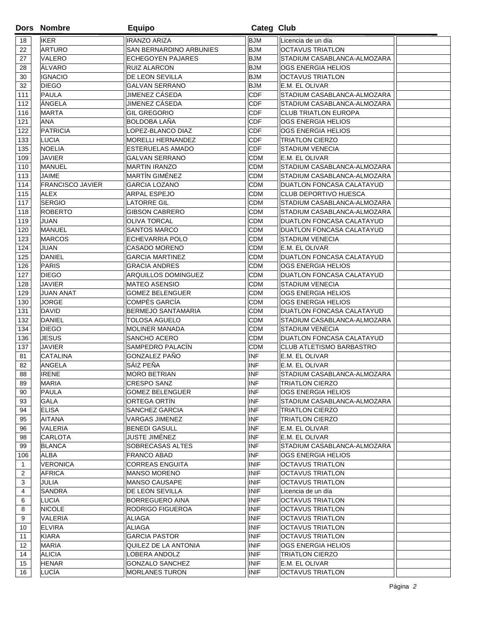|                | <b>Dors Nombre</b>      | <b>Equipo</b>             | Categ Club  |                                  |  |
|----------------|-------------------------|---------------------------|-------------|----------------------------------|--|
| 18             | <b>IKER</b>             | <b>IRANZO ARIZA</b>       | <b>BJM</b>  | Licencia de un día               |  |
| 22             | <b>ARTURO</b>           | SAN BERNARDINO ARBUNIES   | <b>BJM</b>  | <b>OCTAVUS TRIATLON</b>          |  |
| 27             | VALERO                  | <b>ECHEGOYEN PAJARES</b>  | <b>BJM</b>  | STADIUM CASABLANCA-ALMOZARA      |  |
| 28             | ÁLVARO                  | <b>RUIZ ALARCON</b>       | <b>BJM</b>  | OGS ENERGIA HELIOS               |  |
| 30             | <b>IGNACIO</b>          | DE LEON SEVILLA           | <b>BJM</b>  | <b>OCTAVUS TRIATLON</b>          |  |
| 32             | <b>DIEGO</b>            | <b>GALVAN SERRANO</b>     | <b>BJM</b>  | E.M. EL OLIVAR                   |  |
| 111            | PAULA                   | JIMENEZ CÁSEDA            | CDF         | STADIUM CASABLANCA-ALMOZARA      |  |
| 112            | ÁNGELA                  | JIMENEZ CÁSEDA            | CDF         | STADIUM CASABLANCA-ALMOZARA      |  |
| 116            | <b>MARTA</b>            | <b>GIL GREGORIO</b>       | CDF         | <b>CLUB TRIATLON EUROPA</b>      |  |
| 121            | <b>ANA</b>              | <b>BOLDOBA LAÑA</b>       | CDF         | OGS ENERGIA HELIOS               |  |
| 122            | PATRICIA                | LOPEZ-BLANCO DIAZ         | CDF         | <b>OGS ENERGIA HELIOS</b>        |  |
| 133            | LUCIA                   | <b>MORELLI HERNANDEZ</b>  | <b>CDF</b>  | <b>TRIATLON CIERZO</b>           |  |
| 135            | <b>NOELIA</b>           | <b>ESTERUELAS AMADO</b>   | <b>CDF</b>  | <b>STADIUM VENECIA</b>           |  |
| 109            | <b>JAVIER</b>           | <b>GALVAN SERRANO</b>     | <b>CDM</b>  | E.M. EL OLIVAR                   |  |
| 110            | <b>MANUEL</b>           | <b>MARTIN IRANZO</b>      | <b>CDM</b>  | STADIUM CASABLANCA-ALMOZARA      |  |
| 113            | <b>JAIME</b>            | MARTÍN GIMÉNEZ            | <b>CDM</b>  | STADIUM CASABLANCA-ALMOZARA      |  |
| 114            | <b>FRANCISCO JAVIER</b> | <b>GARCIA LOZANO</b>      | <b>CDM</b>  | <b>DUATLON FONCASA CALATAYUD</b> |  |
| 115            | <b>ALEX</b>             | ARPAL ESPEJO              | <b>CDM</b>  | <b>CLUB DEPORTIVO HUESCA</b>     |  |
| 117            | <b>SERGIO</b>           | <b>LATORRE GIL</b>        | <b>CDM</b>  | STADIUM CASABLANCA-ALMOZARA      |  |
| 118            | <b>ROBERTO</b>          | <b>GIBSON CABRERO</b>     | <b>CDM</b>  | STADIUM CASABLANCA-ALMOZARA      |  |
| 119            | <b>JUAN</b>             | <b>OLIVA TORCAL</b>       | <b>CDM</b>  | <b>DUATLON FONCASA CALATAYUD</b> |  |
| 120            | <b>MANUEL</b>           | SANTOS MARCO              | <b>CDM</b>  | DUATLON FONCASA CALATAYUD        |  |
| 123            | <b>MARCOS</b>           | ECHEVARRIA POLO           | <b>CDM</b>  | <b>STADIUM VENECIA</b>           |  |
| 124            | JUAN                    | <b>CASADO MORENO</b>      | <b>CDM</b>  | E.M. EL OLIVAR                   |  |
| 125            | <b>DANIEL</b>           | <b>GARCIA MARTINEZ</b>    | <b>CDM</b>  | DUATLON FONCASA CALATAYUD        |  |
| 126            | PARIS                   | <b>GRACIA ANDRES</b>      | <b>CDM</b>  | OGS ENERGIA HELIOS               |  |
| 127            | <b>DIEGO</b>            | ARQUILLOS DOMINGUEZ       | <b>CDM</b>  | DUATLON FONCASA CALATAYUD        |  |
| 128            | <b>JAVIER</b>           | <b>MATEO ASENSIO</b>      | <b>CDM</b>  | <b>STADIUM VENECIA</b>           |  |
| 129            | <b>JUAN ANAT</b>        | <b>GOMEZ BELENGUER</b>    | <b>CDM</b>  | OGS ENERGIA HELIOS               |  |
| 130            | <b>JORGE</b>            | COMPÉS GARCÍA             | <b>CDM</b>  | OGS ENERGIA HELIOS               |  |
| 131            | <b>DAVID</b>            | <b>BERMEJO SANTAMARIA</b> | <b>CDM</b>  | DUATLON FONCASA CALATAYUD        |  |
| 132            | <b>DANIEL</b>           | <b>TOLOSA AGUELO</b>      | <b>CDM</b>  | STADIUM CASABLANCA-ALMOZARA      |  |
| 134            | <b>DIEGO</b>            | <b>MOLINER MANADA</b>     | <b>CDM</b>  | <b>STADIUM VENECIA</b>           |  |
| 136            | <b>JESUS</b>            | SANCHO ACERO              | <b>CDM</b>  | <b>DUATLON FONCASA CALATAYUD</b> |  |
| 137            | JAVIER                  | SAMPEDRO PALACIN          | <b>CDM</b>  | <b>CLUB ATLETISMO BARBASTRO</b>  |  |
| 81             | <b>CATALINA</b>         | <b>GONZALEZ PAÑO</b>      | <b>INF</b>  | E.M. EL OLIVAR                   |  |
| 82             | ANGELA                  | SÁIZ PEÑA                 | <b>INF</b>  | E.M. EL OLIVAR                   |  |
| 88             | <b>IRENE</b>            | <b>MORO BETRIAN</b>       | <b>INF</b>  | STADIUM CASABLANCA-ALMOZARA      |  |
| 89             | <b>MARIA</b>            | <b>CRESPO SANZ</b>        | INF         | <b>TRIATLON CIERZO</b>           |  |
| 90             | PAULA                   | <b>GOMEZ BELENGUER</b>    | <b>INF</b>  | OGS ENERGIA HELIOS               |  |
| 93             | GALA                    | ORTEGA ORTIN              | <b>INF</b>  | STADIUM CASABLANCA-ALMOZARA      |  |
| 94             | ELISA                   | SANCHEZ GARCIA            | <b>INF</b>  | <b>TRIATLON CIERZO</b>           |  |
| 95             | AITANA                  | VARGAS JIMENEZ            | <b>INF</b>  | <b>TRIATLON CIERZO</b>           |  |
| 96             | VALERIA                 | <b>BENEDI GASULL</b>      | <b>INF</b>  | E.M. EL OLIVAR                   |  |
| 98             | CARLOTA                 | JUSTE JIMÉNEZ             | <b>INF</b>  | E.M. EL OLIVAR                   |  |
| 99             | <b>BLANCA</b>           | SOBRECASAS ALTES          | <b>INF</b>  | STADIUM CASABLANCA-ALMOZARA      |  |
| 106            | ALBA                    | FRANCO ABAD               | <b>INF</b>  | <b>OGS ENERGIA HELIOS</b>        |  |
| $\mathbf{1}$   | <b>VERONICA</b>         | <b>CORREAS ENGUITA</b>    | <b>INIF</b> | <b>OCTAVUS TRIATLON</b>          |  |
| $\overline{2}$ | <b>AFRICA</b>           | <b>MANSO MORENO</b>       | <b>INIF</b> | <b>OCTAVUS TRIATLON</b>          |  |
| 3              | <b>JULIA</b>            | <b>MANSO CAUSAPE</b>      | <b>INIF</b> | <b>OCTAVUS TRIATLON</b>          |  |
| 4              | SANDRA                  | DE LEON SEVILLA           | <b>INIF</b> | Licencia de un día               |  |
| 6              | LUCIA                   | <b>BORREGUERO AINA</b>    | <b>INIF</b> | <b>OCTAVUS TRIATLON</b>          |  |
| 8              | <b>NICOLE</b>           | RODRIGO FIGUEROA          | <b>INIF</b> | <b>OCTAVUS TRIATLON</b>          |  |
| 9              | VALERIA                 | ALIAGA                    | <b>INIF</b> | <b>OCTAVUS TRIATLON</b>          |  |
| 10             | <b>ELVIRA</b>           | <b>ALIAGA</b>             | <b>INIF</b> | <b>OCTAVUS TRIATLON</b>          |  |
| 11             | <b>KIARA</b>            | <b>GARCIA PASTOR</b>      | <b>INIF</b> | <b>OCTAVUS TRIATLON</b>          |  |
| 12             | <b>MARIA</b>            | QUILEZ DE LA ANTONIA      | <b>INIF</b> | OGS ENERGIA HELIOS               |  |
| 14             | <b>ALICIA</b>           | LOBERA ANDOLZ             | <b>INIF</b> | TRIATLON CIERZO                  |  |
| 15             | <b>HENAR</b>            | <b>GONZALO SANCHEZ</b>    | <b>INIF</b> | E.M. EL OLIVAR                   |  |
| 16             | LUCÍA                   | <b>MORLANES TURON</b>     | <b>INIF</b> | <b>OCTAVUS TRIATLON</b>          |  |